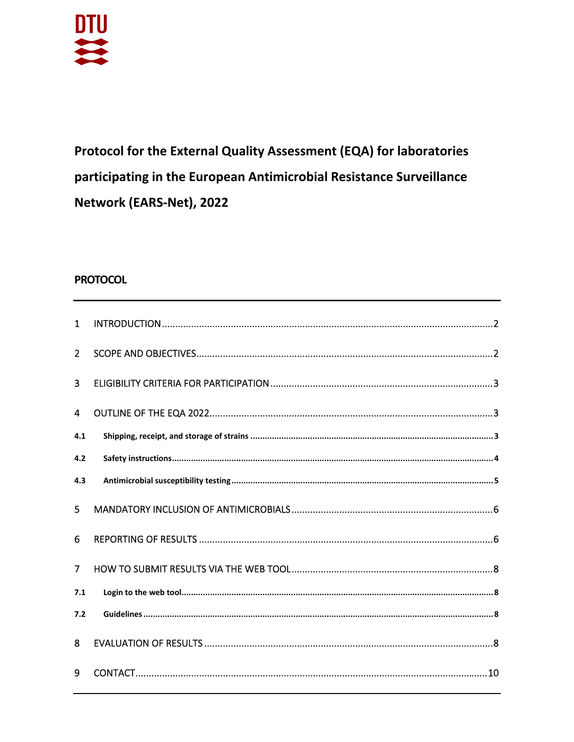

Protocol for the External Quality Assessment (EQA) for laboratories participating in the European Antimicrobial Resistance Surveillance Network (EARS-Net), 2022

# **PROTOCOL**

| $\mathbf{1}$   |  |
|----------------|--|
| $\overline{2}$ |  |
| $\overline{3}$ |  |
| $\overline{4}$ |  |
| 4.1            |  |
| 4.2            |  |
| 4.3            |  |
| 5              |  |
| 6              |  |
| $\overline{7}$ |  |
| 7.1            |  |
| 7.2            |  |
| 8              |  |
| 9              |  |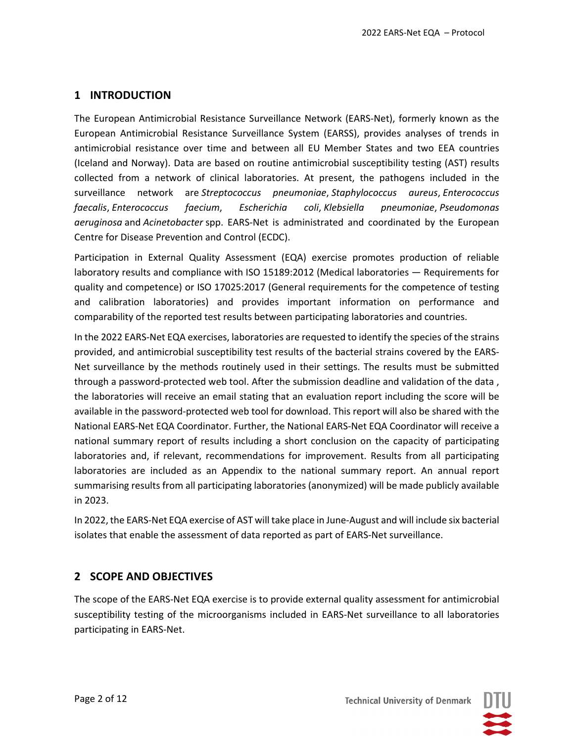# **1 INTRODUCTION**

The European Antimicrobial Resistance Surveillance Network (EARS‐Net), formerly known as the European Antimicrobial Resistance Surveillance System (EARSS), provides analyses of trends in antimicrobial resistance over time and between all EU Member States and two EEA countries (Iceland and Norway). Data are based on routine antimicrobial susceptibility testing (AST) results collected from a network of clinical laboratories. At present, the pathogens included in the surveillance network are *Streptococcus pneumoniae*, *Staphylococcus aureus*, *Enterococcus faecalis*, *Enterococcus faecium*, *Escherichia coli*, *Klebsiella pneumoniae*, *Pseudomonas aeruginosa* and *Acinetobacter* spp. EARS‐Net is administrated and coordinated by the European Centre for Disease Prevention and Control (ECDC).

Participation in External Quality Assessment (EQA) exercise promotes production of reliable laboratory results and compliance with ISO 15189:2012 (Medical laboratories — Requirements for quality and competence) or ISO 17025:2017 (General requirements for the competence of testing and calibration laboratories) and provides important information on performance and comparability of the reported test results between participating laboratories and countries.

In the 2022 EARS‐Net EQA exercises, laboratories are requested to identify the species of the strains provided, and antimicrobial susceptibility test results of the bacterial strains covered by the EARS‐ Net surveillance by the methods routinely used in their settings. The results must be submitted through a password-protected web tool. After the submission deadline and validation of the data, the laboratories will receive an email stating that an evaluation report including the score will be available in the password‐protected web tool for download. This report will also be shared with the National EARS‐Net EQA Coordinator. Further, the National EARS‐Net EQA Coordinator will receive a national summary report of results including a short conclusion on the capacity of participating laboratories and, if relevant, recommendations for improvement. Results from all participating laboratories are included as an Appendix to the national summary report. An annual report summarising results from all participating laboratories (anonymized) will be made publicly available in 2023.

In 2022, the EARS‐Net EQA exercise of AST will take place in June‐August and will include six bacterial isolates that enable the assessment of data reported as part of EARS‐Net surveillance.

## **2 SCOPE AND OBJECTIVES**

The scope of the EARS-Net EQA exercise is to provide external quality assessment for antimicrobial susceptibility testing of the microorganisms included in EARS-Net surveillance to all laboratories participating in EARS‐Net.

**Technical University of Denmark**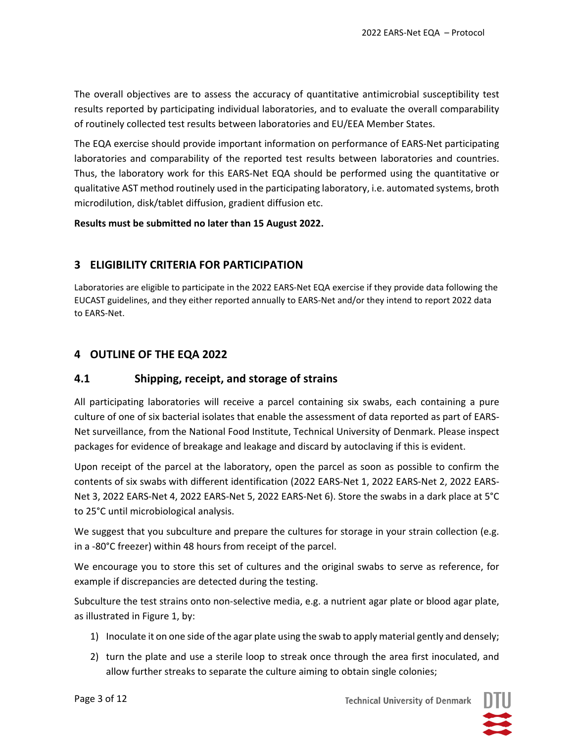The overall objectives are to assess the accuracy of quantitative antimicrobial susceptibility test results reported by participating individual laboratories, and to evaluate the overall comparability of routinely collected test results between laboratories and EU/EEA Member States.

The EQA exercise should provide important information on performance of EARS‐Net participating laboratories and comparability of the reported test results between laboratories and countries. Thus, the laboratory work for this EARS‐Net EQA should be performed using the quantitative or qualitative AST method routinely used in the participating laboratory, i.e. automated systems, broth microdilution, disk/tablet diffusion, gradient diffusion etc.

#### **Results must be submitted no later than 15 August 2022.**

## **3 ELIGIBILITY CRITERIA FOR PARTICIPATION**

Laboratories are eligible to participate in the 2022 EARS‐Net EQA exercise if they provide data following the EUCAST guidelines, and they either reported annually to EARS‐Net and/or they intend to report 2022 data to EARS‐Net.

## **4 OUTLINE OF THE EQA 2022**

## **4.1 Shipping, receipt, and storage of strains**

All participating laboratories will receive a parcel containing six swabs, each containing a pure culture of one of six bacterial isolates that enable the assessment of data reported as part of EARS‐ Net surveillance, from the National Food Institute, Technical University of Denmark. Please inspect packages for evidence of breakage and leakage and discard by autoclaving if this is evident.

Upon receipt of the parcel at the laboratory, open the parcel as soon as possible to confirm the contents of six swabs with different identification (2022 EARS‐Net 1, 2022 EARS‐Net 2, 2022 EARS‐ Net 3, 2022 EARS‐Net 4, 2022 EARS‐Net 5, 2022 EARS‐Net 6). Store the swabs in a dark place at 5°C to 25°C until microbiological analysis.

We suggest that you subculture and prepare the cultures for storage in your strain collection (e.g. in a ‐80°C freezer) within 48 hours from receipt of the parcel.

We encourage you to store this set of cultures and the original swabs to serve as reference, for example if discrepancies are detected during the testing.

Subculture the test strains onto non-selective media, e.g. a nutrient agar plate or blood agar plate, as illustrated in Figure 1, by:

- 1) Inoculate it on one side of the agar plate using the swab to apply material gently and densely;
- 2) turn the plate and use a sterile loop to streak once through the area first inoculated, and allow further streaks to separate the culture aiming to obtain single colonies;

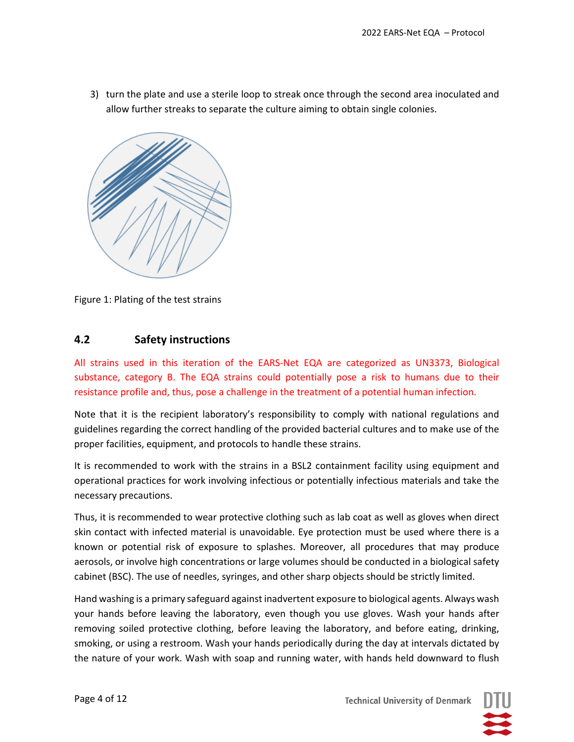3) turn the plate and use a sterile loop to streak once through the second area inoculated and allow further streaks to separate the culture aiming to obtain single colonies.



Figure 1: Plating of the test strains

## **4.2 Safety instructions**

All strains used in this iteration of the EARS‐Net EQA are categorized as UN3373, Biological substance, category B. The EQA strains could potentially pose a risk to humans due to their resistance profile and, thus, pose a challenge in the treatment of a potential human infection.

Note that it is the recipient laboratory's responsibility to comply with national regulations and guidelines regarding the correct handling of the provided bacterial cultures and to make use of the proper facilities, equipment, and protocols to handle these strains.

It is recommended to work with the strains in a BSL2 containment facility using equipment and operational practices for work involving infectious or potentially infectious materials and take the necessary precautions.

Thus, it is recommended to wear protective clothing such as lab coat as well as gloves when direct skin contact with infected material is unavoidable. Eye protection must be used where there is a known or potential risk of exposure to splashes. Moreover, all procedures that may produce aerosols, or involve high concentrations or large volumes should be conducted in a biological safety cabinet (BSC). The use of needles, syringes, and other sharp objects should be strictly limited.

Hand washing is a primary safeguard against inadvertent exposure to biological agents. Always wash your hands before leaving the laboratory, even though you use gloves. Wash your hands after removing soiled protective clothing, before leaving the laboratory, and before eating, drinking, smoking, or using a restroom. Wash your hands periodically during the day at intervals dictated by the nature of your work. Wash with soap and running water, with hands held downward to flush

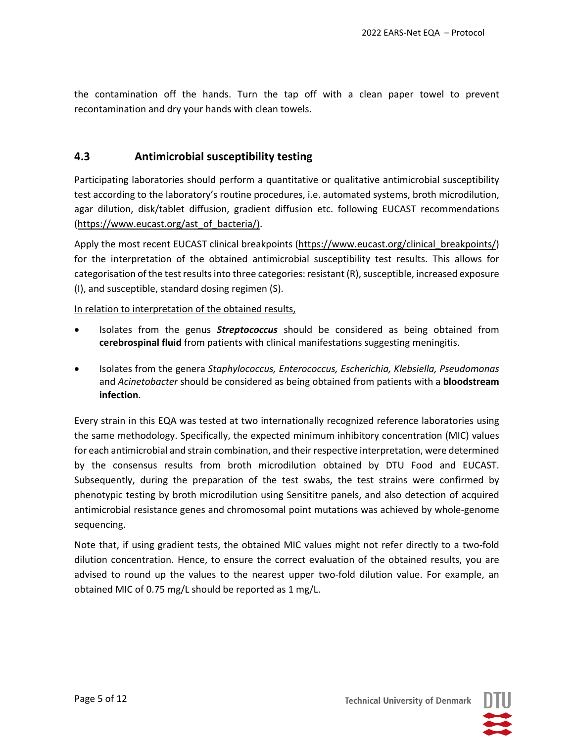the contamination off the hands. Turn the tap off with a clean paper towel to prevent recontamination and dry your hands with clean towels.

#### **4.3 Antimicrobial susceptibility testing**

Participating laboratories should perform a quantitative or qualitative antimicrobial susceptibility test according to the laboratory's routine procedures, i.e. automated systems, broth microdilution, agar dilution, disk/tablet diffusion, gradient diffusion etc. following EUCAST recommendations (https://www.eucast.org/ast\_of\_bacteria/).

Apply the most recent EUCAST clinical breakpoints (https://www.eucast.org/clinical\_breakpoints/) for the interpretation of the obtained antimicrobial susceptibility test results. This allows for categorisation of the test results into three categories: resistant (R), susceptible, increased exposure (I), and susceptible, standard dosing regimen (S).

#### In relation to interpretation of the obtained results,

- Isolates from the genus *Streptococcus* should be considered as being obtained from **cerebrospinal fluid** from patients with clinical manifestations suggesting meningitis.
- Isolates from the genera *Staphylococcus, Enterococcus, Escherichia, Klebsiella, Pseudomonas* and *Acinetobacter* should be considered as being obtained from patients with a **bloodstream infection**.

Every strain in this EQA was tested at two internationally recognized reference laboratories using the same methodology. Specifically, the expected minimum inhibitory concentration (MIC) values for each antimicrobial and strain combination, and their respective interpretation, were determined by the consensus results from broth microdilution obtained by DTU Food and EUCAST. Subsequently, during the preparation of the test swabs, the test strains were confirmed by phenotypic testing by broth microdilution using Sensititre panels, and also detection of acquired antimicrobial resistance genes and chromosomal point mutations was achieved by whole‐genome sequencing.

Note that, if using gradient tests, the obtained MIC values might not refer directly to a two‐fold dilution concentration. Hence, to ensure the correct evaluation of the obtained results, you are advised to round up the values to the nearest upper two-fold dilution value. For example, an obtained MIC of 0.75 mg/L should be reported as 1 mg/L.

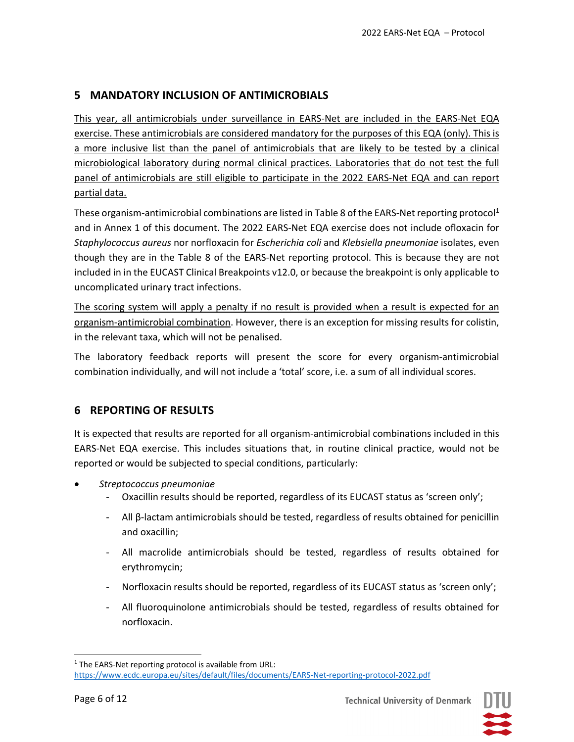## **5 MANDATORY INCLUSION OF ANTIMICROBIALS**

This year, all antimicrobials under surveillance in EARS-Net are included in the EARS-Net EQA exercise. These antimicrobials are considered mandatory for the purposes of this EQA (only). This is a more inclusive list than the panel of antimicrobials that are likely to be tested by a clinical microbiological laboratory during normal clinical practices. Laboratories that do not test the full panel of antimicrobials are still eligible to participate in the 2022 EARS-Net EQA and can report partial data.

These organism-antimicrobial combinations are listed in Table 8 of the EARS-Net reporting protocol<sup>1</sup> and in Annex 1 of this document. The 2022 EARS‐Net EQA exercise does not include ofloxacin for *Staphylococcus aureus* nor norfloxacin for *Escherichia coli* and *Klebsiella pneumoniae* isolates, even though they are in the Table 8 of the EARS‐Net reporting protocol. This is because they are not included in in the EUCAST Clinical Breakpoints v12.0, or because the breakpoint is only applicable to uncomplicated urinary tract infections.

The scoring system will apply a penalty if no result is provided when a result is expected for an organism‐antimicrobial combination. However, there is an exception for missing results for colistin, in the relevant taxa, which will not be penalised.

The laboratory feedback reports will present the score for every organism-antimicrobial combination individually, and will not include a 'total' score, i.e. a sum of all individual scores.

## **6 REPORTING OF RESULTS**

It is expected that results are reported for all organism‐antimicrobial combinations included in this EARS‐Net EQA exercise. This includes situations that, in routine clinical practice, would not be reported or would be subjected to special conditions, particularly:

- *Streptococcus pneumoniae*
	- ‐ Oxacillin results should be reported, regardless of its EUCAST status as 'screen only';
	- ‐ All β‐lactam antimicrobials should be tested, regardless of results obtained for penicillin and oxacillin;
	- ‐ All macrolide antimicrobials should be tested, regardless of results obtained for erythromycin;
	- ‐ Norfloxacin results should be reported, regardless of its EUCAST status as 'screen only';
	- ‐ All fluoroquinolone antimicrobials should be tested, regardless of results obtained for norfloxacin.



<sup>&</sup>lt;sup>1</sup> The EARS-Net reporting protocol is available from URL:

https://www.ecdc.europa.eu/sites/default/files/documents/EARS‐Net‐reporting‐protocol‐2022.pdf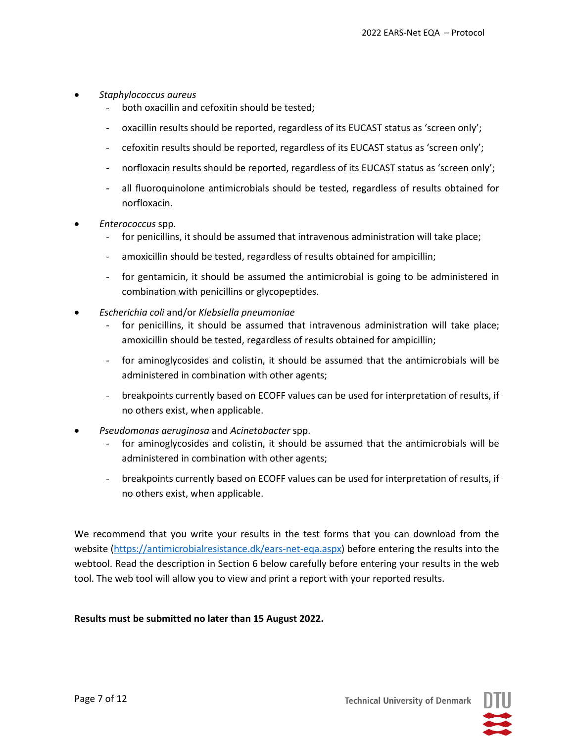- *Staphylococcus aureus*
	- both oxacillin and cefoxitin should be tested;
	- oxacillin results should be reported, regardless of its EUCAST status as 'screen only';
	- ‐ cefoxitin results should be reported, regardless of its EUCAST status as 'screen only';
	- norfloxacin results should be reported, regardless of its EUCAST status as 'screen only';
	- ‐ all fluoroquinolone antimicrobials should be tested, regardless of results obtained for norfloxacin.
- *Enterococcus* spp.
	- ‐ for penicillins, it should be assumed that intravenous administration will take place;
	- amoxicillin should be tested, regardless of results obtained for ampicillin;
	- for gentamicin, it should be assumed the antimicrobial is going to be administered in combination with penicillins or glycopeptides.
- *Escherichia coli* and/or *Klebsiella pneumoniae*
	- for penicillins, it should be assumed that intravenous administration will take place; amoxicillin should be tested, regardless of results obtained for ampicillin;
	- for aminoglycosides and colistin, it should be assumed that the antimicrobials will be administered in combination with other agents;
	- ‐ breakpoints currently based on ECOFF values can be used for interpretation of results, if no others exist, when applicable.
- *Pseudomonas aeruginosa* and *Acinetobacter* spp.
	- for aminoglycosides and colistin, it should be assumed that the antimicrobials will be administered in combination with other agents;
	- ‐ breakpoints currently based on ECOFF values can be used for interpretation of results, if no others exist, when applicable.

We recommend that you write your results in the test forms that you can download from the website (https://antimicrobialresistance.dk/ears-net-eqa.aspx) before entering the results into the webtool. Read the description in Section 6 below carefully before entering your results in the web tool. The web tool will allow you to view and print a report with your reported results.

#### **Results must be submitted no later than 15 August 2022.**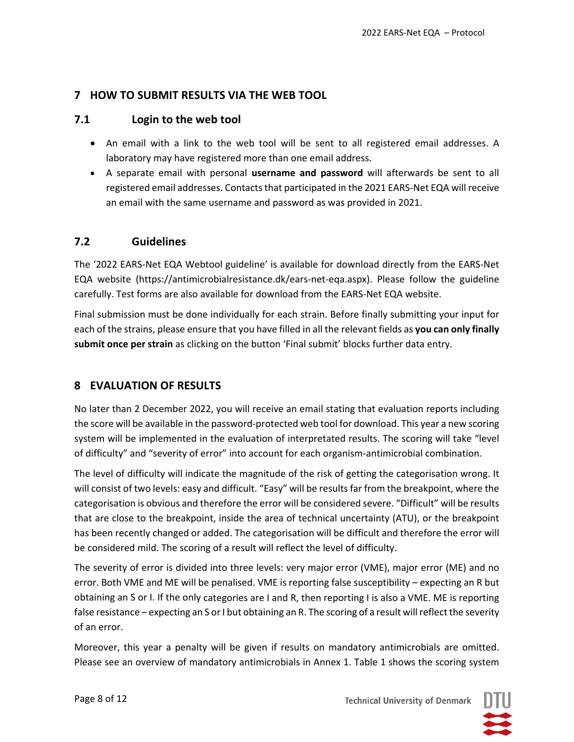## **7 HOW TO SUBMIT RESULTS VIA THE WEB TOOL**

#### **7.1 Login to the web tool**

- An email with a link to the web tool will be sent to all registered email addresses. A laboratory may have registered more than one email address.
- A separate email with personal **username and password** will afterwards be sent to all registered email addresses. Contactsthat participated in the 2021 EARS‐Net EQA will receive an email with the same username and password as was provided in 2021.

## **7.2 Guidelines**

The '2022 EARS‐Net EQA Webtool guideline' is available for download directly from the EARS‐Net EQA website (https://antimicrobialresistance.dk/ears‐net‐eqa.aspx). Please follow the guideline carefully. Test forms are also available for download from the EARS‐Net EQA website.

Final submission must be done individually for each strain. Before finally submitting your input for each of the strains, please ensure that you have filled in all the relevant fields as **you can only finally submit once per strain** as clicking on the button 'Final submit' blocks further data entry.

## **8 EVALUATION OF RESULTS**

No later than 2 December 2022, you will receive an email stating that evaluation reports including the score will be available in the password‐protected web tool for download. This year a new scoring system will be implemented in the evaluation of interpretated results. The scoring will take "level of difficulty" and "severity of error" into account for each organism‐antimicrobial combination.

The level of difficulty will indicate the magnitude of the risk of getting the categorisation wrong. It will consist of two levels: easy and difficult. "Easy" will be resultsfar from the breakpoint, where the categorisation is obvious and therefore the error will be considered severe. "Difficult" will be results that are close to the breakpoint, inside the area of technical uncertainty (ATU), or the breakpoint has been recently changed or added. The categorisation will be difficult and therefore the error will be considered mild. The scoring of a result will reflect the level of difficulty.

The severity of error is divided into three levels: very major error (VME), major error (ME) and no error. Both VME and ME will be penalised. VME is reporting false susceptibility – expecting an R but obtaining an S or I. If the only categories are I and R, then reporting I is also a VME. ME is reporting false resistance – expecting an S or I but obtaining an R. The scoring of a result will reflect the severity of an error.

Moreover, this year a penalty will be given if results on mandatory antimicrobials are omitted. Please see an overview of mandatory antimicrobials in Annex 1. Table 1 shows the scoring system

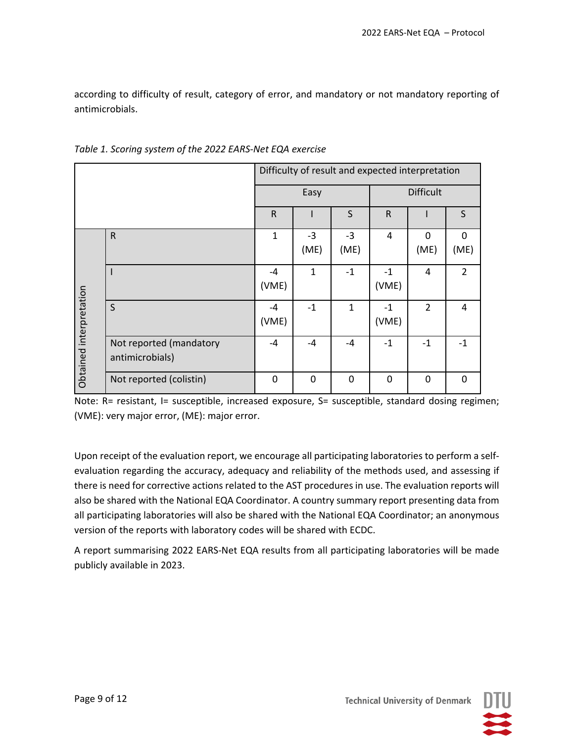according to difficulty of result, category of error, and mandatory or not mandatory reporting of antimicrobials.

|                         |                         | Difficulty of result and expected interpretation |              |              |                  |                |                |
|-------------------------|-------------------------|--------------------------------------------------|--------------|--------------|------------------|----------------|----------------|
|                         |                         | Easy                                             |              |              | <b>Difficult</b> |                |                |
|                         |                         | $\mathsf{R}$                                     |              | S            | $\mathsf R$      |                | S              |
|                         | $\mathsf{R}$            | $\mathbf{1}$                                     | $-3$         | $-3$         | 4                | $\Omega$       | $\Omega$       |
|                         |                         |                                                  | (ME)         | (ME)         |                  | (ME)           | (ME)           |
|                         |                         | $-4$                                             | $\mathbf{1}$ | $-1$         | $-1$             | 4              | $\overline{2}$ |
|                         |                         | (VME)                                            |              |              | (VME)            |                |                |
|                         | S                       | -4                                               | $-1$         | $\mathbf{1}$ | $-1$             | $\overline{2}$ | 4              |
| Obtained interpretation |                         | (VME)                                            |              |              | (VME)            |                |                |
|                         | Not reported (mandatory | $-4$                                             | -4           | $-4$         | $-1$             | $-1$           | $-1$           |
|                         | antimicrobials)         |                                                  |              |              |                  |                |                |
|                         | Not reported (colistin) | $\Omega$                                         | 0            | $\Omega$     | $\mathbf{0}$     | 0              | 0              |

*Table 1. Scoring system of the 2022 EARS‐Net EQA exercise*

Note: R= resistant, I= susceptible, increased exposure, S= susceptible, standard dosing regimen; (VME): very major error, (ME): major error.

Upon receipt of the evaluation report, we encourage all participating laboratories to perform a self‐ evaluation regarding the accuracy, adequacy and reliability of the methods used, and assessing if there is need for corrective actions related to the AST procedures in use. The evaluation reports will also be shared with the National EQA Coordinator. A country summary report presenting data from all participating laboratories will also be shared with the National EQA Coordinator; an anonymous version of the reports with laboratory codes will be shared with ECDC.

A report summarising 2022 EARS‐Net EQA results from all participating laboratories will be made publicly available in 2023.



**Technical University of Denmark**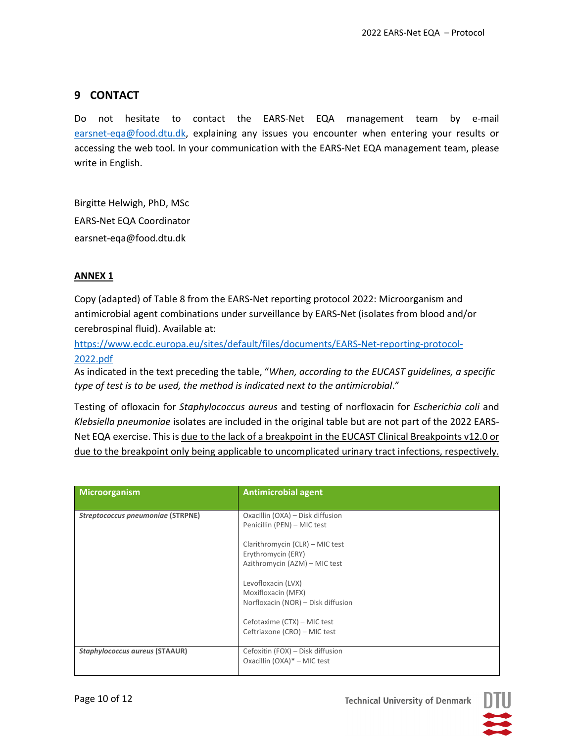# **9 CONTACT**

Do not hesitate to contact the EARS‐Net EQA management team by e‐mail earsnet-eqa@food.dtu.dk, explaining any issues you encounter when entering your results or accessing the web tool. In your communication with the EARS‐Net EQA management team, please write in English.

Birgitte Helwigh, PhD, MSc EARS‐Net EQA Coordinator earsnet‐eqa@food.dtu.dk

#### **ANNEX 1**

Copy (adapted) of Table 8 from the EARS‐Net reporting protocol 2022: Microorganism and antimicrobial agent combinations under surveillance by EARS‐Net (isolates from blood and/or cerebrospinal fluid). Available at:

https://www.ecdc.europa.eu/sites/default/files/documents/EARS‐Net‐reporting‐protocol‐ 2022.pdf

As indicated in the text preceding the table, "*When, according to the EUCAST guidelines, a specific type of test is to be used, the method is indicated next to the antimicrobial*."

Testing of ofloxacin for *Staphylococcus aureus* and testing of norfloxacin for *Escherichia coli* and *Klebsiella pneumoniae* isolates are included in the original table but are not part of the 2022 EARS‐ Net EQA exercise. This is due to the lack of a breakpoint in the EUCAST Clinical Breakpoints v12.0 or due to the breakpoint only being applicable to uncomplicated urinary tract infections, respectively.

| Microorganism                         | <b>Antimicrobial agent</b>                                                             |
|---------------------------------------|----------------------------------------------------------------------------------------|
| Streptococcus pneumoniae (STRPNE)     | Oxacillin (OXA) - Disk diffusion<br>Penicillin (PEN) - MIC test                        |
|                                       | Clarithromycin (CLR) - MIC test<br>Erythromycin (ERY)<br>Azithromycin (AZM) - MIC test |
|                                       | Levofloxacin (LVX)<br>Moxifloxacin (MFX)<br>Norfloxacin (NOR) - Disk diffusion         |
|                                       | Cefotaxime (CTX) – MIC test<br>Ceftriaxone (CRO) - MIC test                            |
| <b>Staphylococcus aureus (STAAUR)</b> | Cefoxitin (FOX) - Disk diffusion<br>Oxacillin (OXA)* - MIC test                        |

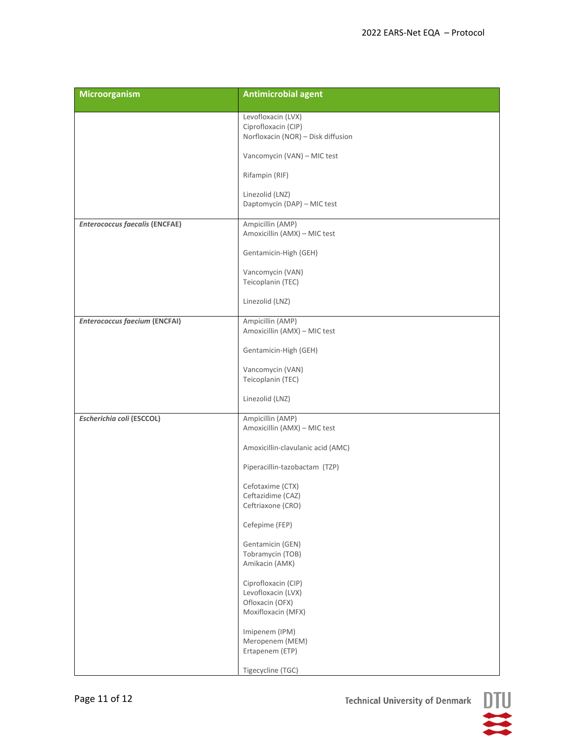| <b>Microorganism</b>                  | <b>Antimicrobial agent</b>                                                         |
|---------------------------------------|------------------------------------------------------------------------------------|
|                                       | Levofloxacin (LVX)<br>Ciprofloxacin (CIP)<br>Norfloxacin (NOR) - Disk diffusion    |
|                                       | Vancomycin (VAN) - MIC test                                                        |
|                                       | Rifampin (RIF)                                                                     |
|                                       | Linezolid (LNZ)<br>Daptomycin (DAP) - MIC test                                     |
| <b>Enterococcus faecalis (ENCFAE)</b> | Ampicillin (AMP)<br>Amoxicillin (AMX) - MIC test                                   |
|                                       | Gentamicin-High (GEH)                                                              |
|                                       | Vancomycin (VAN)<br>Teicoplanin (TEC)                                              |
|                                       | Linezolid (LNZ)                                                                    |
| <b>Enterococcus faecium (ENCFAI)</b>  | Ampicillin (AMP)<br>Amoxicillin (AMX) - MIC test                                   |
|                                       | Gentamicin-High (GEH)                                                              |
|                                       | Vancomycin (VAN)<br>Teicoplanin (TEC)                                              |
|                                       | Linezolid (LNZ)                                                                    |
| Escherichia coli (ESCCOL)             | Ampicillin (AMP)<br>Amoxicillin (AMX) - MIC test                                   |
|                                       | Amoxicillin-clavulanic acid (AMC)                                                  |
|                                       | Piperacillin-tazobactam (TZP)                                                      |
|                                       | Cefotaxime (CTX)<br>Ceftazidime (CAZ)<br>Ceftriaxone (CRO)                         |
|                                       | Cefepime (FEP)                                                                     |
|                                       | Gentamicin (GEN)<br>Tobramycin (TOB)<br>Amikacin (AMK)                             |
|                                       | Ciprofloxacin (CIP)<br>Levofloxacin (LVX)<br>Ofloxacin (OFX)<br>Moxifloxacin (MFX) |
|                                       | Imipenem (IPM)<br>Meropenem (MEM)<br>Ertapenem (ETP)                               |
|                                       | Tigecycline (TGC)                                                                  |